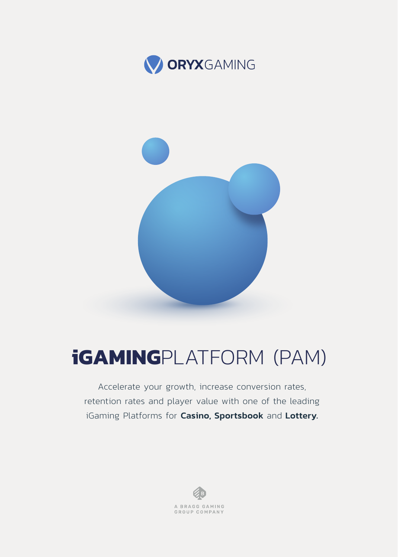

# **iGAMING**PLATFORM (PAM)

Accelerate your growth, increase conversion rates, retention rates and player value with one of the leading iGaming Platforms for Casino, Sportsbook and Lottery.

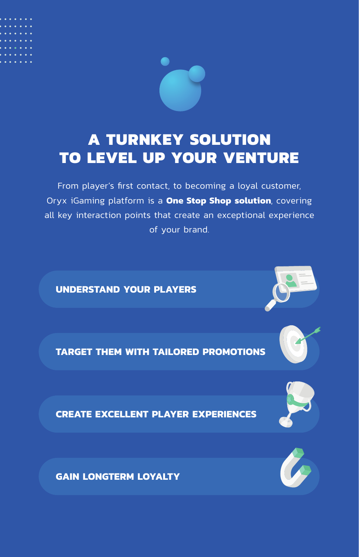

### **A TURNKEY SOLUTION TO LEVEL UP YOUR VENTURE**

From player's first contact, to becoming a loyal customer, Oryx iGaming platform is a **One Stop Shop solution**, covering all key interaction points that create an exceptional experience of your brand.

**UNDERSTAND YOUR PLAYERS**

**TARGET THEM WITH TAILORED PROMOTIONS**



**CREATE EXCELLENT PLAYER EXPERIENCES**



**GAIN LONGTERM LOYALTY**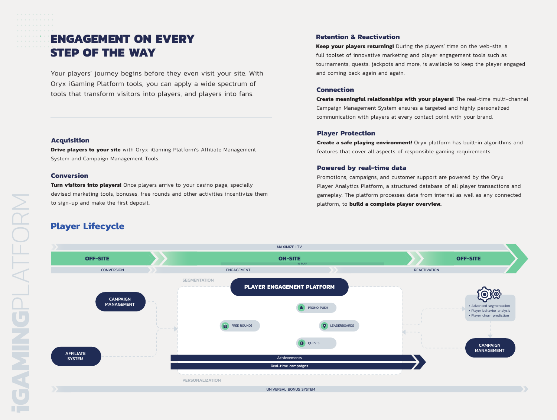### **ENGAGEMENT ON EVERY STEP OF THE WAY**

Your players' journey begins before they even visit your site. With Oryx iGaming Platform tools, you can apply a wide spectrum of <u>F</u> TWE ST THE ST THE ST THE ST THE ST THE ST THE ST THE ST THE ST THE ST OF CONNECTION 100 ST THE ST ON A ST THE ST THE ST THE ST THE ST THE ST THE ST THE ST THE ST THE ST THE ST THE ST THE ST THE ST THE ST THE ST THE ST

#### **Retention & Reactivation**

**Keep your players returning!** During the players' time on the web-site, a full toolset of innovative marketing and player engagement tools such as tournaments, quests, jackpots and more, is available to keep the player engaged and coming back again and again.

Create meaningful relationships with your players! The real-time multi-channel Campaign Management System ensures a targeted and highly personalized communication with players at every contact point with your brand.

#### **Player Protection**

**Create a safe playing environment!** Orvx platform has built-in algorithms and features that cover all aspects of responsible gaming requirements.

#### **Powered by real-time data**

Promotions, campaigns, and customer support are powered by the Oryx Player Analytics Platform, a structured database of all player transactions and gameplay. The platform processes data from internal as well as any connected platform, to **build a complete player overview.** 



#### **Acquisition**

**Drive players to your site** with Oryx iGaming Platform's Affiliate Management System and Campaign Management Tools.

#### **Conversion**

Turn visitors into players! Once players arrive to your casino page, specially devised marketing tools, bonuses, free rounds and other activities incentivize them to sign-up and make the first deposit.

### **Player Lifecycle**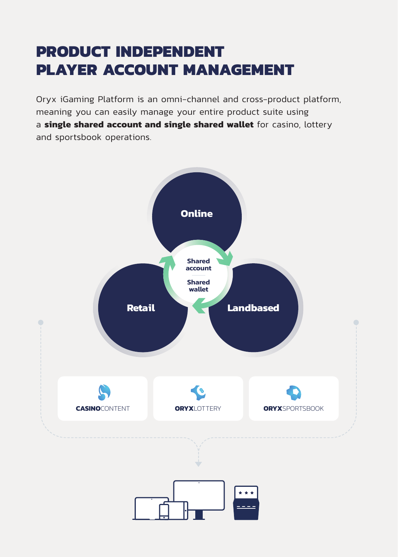## **PRODUCT INDEPENDENT PLAYER ACCOUNT MANAGEMENT**

Oryx iGaming Platform is an omni-channel and cross-product platform, meaning you can easily manage your entire product suite using a **single shared account and single shared wallet** for casino, lottery and sportsbook operations.

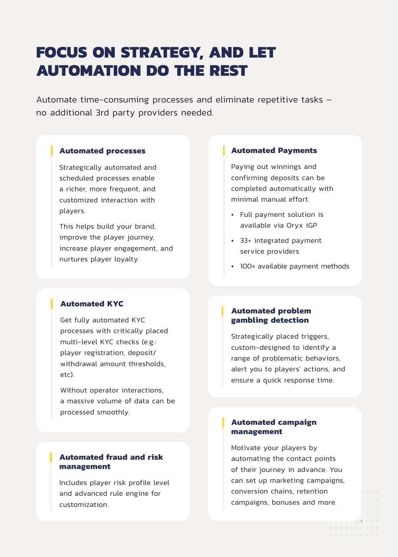## **FOCUS ON STRATEGY, AND LET AUTOMATION DO THE REST**

Automate time-consuming processes and eliminate repetitive tasks no additional 3rd party providers needed.

#### **Automated processes**

Strategically automated and scheduled processes enable a richer more frequent and customized interaction with players.

This helps build your brand, improve the player journey, increase player engagement, and nurtures player loyalty.

#### **Automated Payments**

Paying out winnings and confirming deposits can be completed automatically with minimal manual effort.

- Full payment solution is available via Oryx iGP
- 33+ integrated payment service providers
- 100+ available payment methods

#### **Automated KYC**

Get fully automated KYC processes with critically placed multi-level KYC checks (e.g.: player registration, deposit/ withdrawal amount thresholds  $f(f)$ 

Without operator interactions, a massive volume of data can be processed smoothly.

#### **Automated fraud and risk management**

Includes player risk profile level and advanced rule engine for customization.

#### **Automated problem gambling detection**

Strategically placed triggers, custom-designed to identify a range of problematic behaviors. alert you to players' actions, and ensure a quick response time.

#### **Automated campaign management**

Motivate your players by automating the contact points of their journey in advance. You can set up marketing campaigns. conversion chains, retention campaigns, bonuses and more.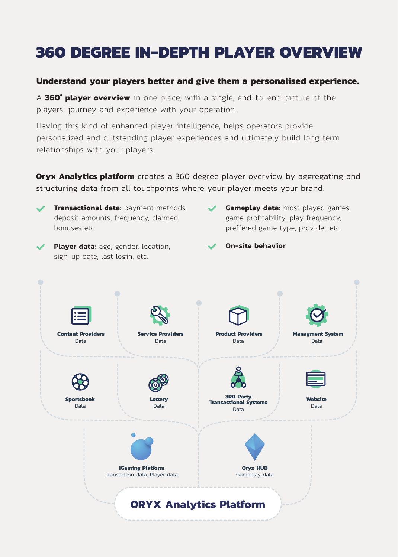## **360 DEGREE IN-DEPTH PLAYER OVERVIEW**

#### **Understand your players better and give them a personalised experience.**

A **360° player overview** in one place, with a single, end-to-end picture of the players' journey and experience with your operation.

Having this kind of enhanced player intelligence, helps operators provide personalized and outstanding player experiences and ultimately build long term relationships with your players.

**Oryx Analytics platform** creates a 360 degree player overview by aggregating and structuring data from all touchpoints where your player meets your brand:



**Transactional data:** payment methods, deposit amounts, frequency, claimed bonuses etc.

- **Gameplay data:** most played games, game profitability, play frequency, preffered game type, provider etc.
- **Player data:** age, gender, location, sign-up date, last login, etc.
- **On-site behavior**

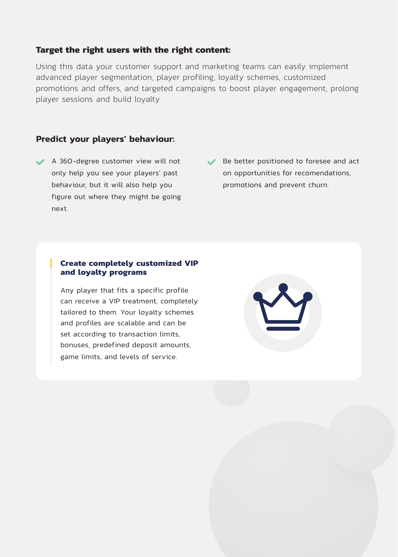#### **Target the right users with the right content:**

Using this data your customer support and marketing teams can easily implement advanced player segmentation, player profiling, loyalty schemes, customized promotions and offers, and targeted campaigns to boost player engagement, prolong player sessions and build loyalty.

#### **Predict your players' behaviour:**

- ◆ A 360-degree customer view will not only help you see your players' past behaviour, but it will also help you figure out where they might be going next
- Be better positioned to foresee and act on opportunities for recomendations. promotions and prevent churn.

#### **Create completely customized VIP and loyalty programs**

Any player that fits a specific profile can receive a VIP treatment, completely tailored to them. Your loyalty schemes and profiles are scalable and can be set according to transaction limits. bonuses, predefined deposit amounts, game limits, and levels of service.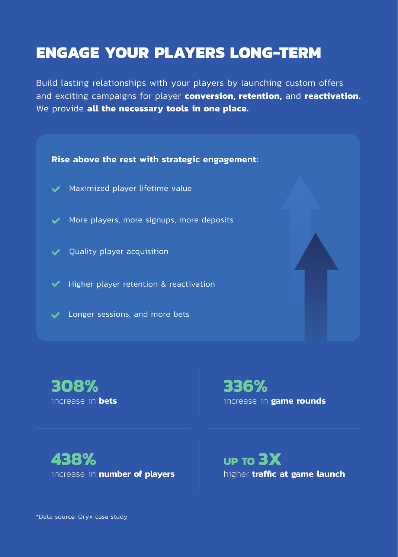### **ENGAGE YOUR PLAYERS LONG-TERM**

Build lasting relationships with your players by launching custom offers and exciting campaigns for player **conversion, retention,** and **reactivation.** We provide all the necessary tools in one place.



**308%** increase in **bets** **336%** increase in **game rounds**

**438%** increase in **number of players** **UP TO 3X** higher **traffic at game launch**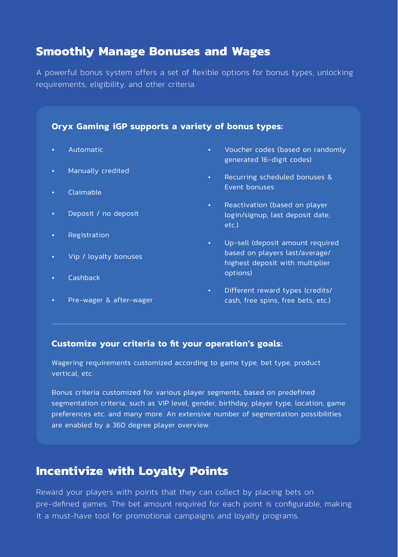### **Smoothly Manage Bonuses and Wages**

A powerful bonus system offers a set of flexible options for bonus types, unlocking requirements, eligibility, and other criteria.

#### **Oryx Gaming iGP supports a variety of bonus types:**

- Automatic
- Manually credited
- Claimable
- Deposit / no deposit
- Registration
- Vip / loyalty bonuses
- Cashback
- Pre-wager & after-wager
- Voucher codes (based on randomly generated 16-digit codes)
- Recurring scheduled bonuses & Event bonuses
- Reactivation (based on player login/signup, last deposit date, etc.)
- Up-sell (deposit amount required based on players last/average/ highest deposit with multiplier options)
- Different reward types (credits/ cash, free spins, free bets, etc.)

#### Customize your criteria to fit your operation's goals:

Wagering requirements customized according to game type, bet type, product vertical, etc.

Bonus criteria customized for various player segments, based on predefined segmentation criteria, such as VIP level, gender, birthday, player type, location, game preferences etc. and many more. An extensive number of segmentation possibilities are enabled by a 360 degree player overview.

### **Incentivize with Loyalty Points**

Reward your players with points that they can collect by placing bets on pre-defined games. The bet amount required for each point is configurable, making it a must-have tool for promotional campaigns and loyalty programs.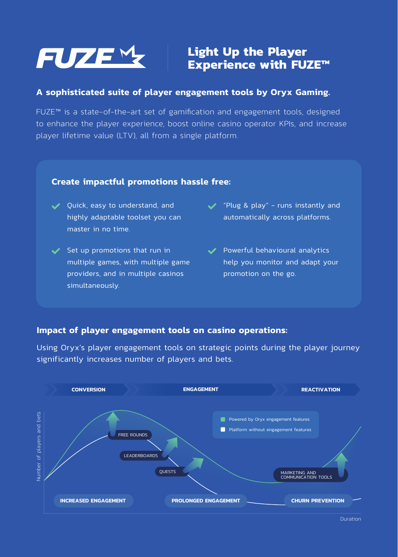

### **Light Up the Player Experience with FUZE™**

#### **A sophisticated suite of player engagement tools by Oryx Gaming.**

FUZE™ is a state-of-the-art set of gamification and engagement tools, designed to enhance the player experience, boost online casino operator KPIs, and increase player lifetime value (LTV), all from a single platform.

#### **Create impactful promotions hassle free:**

- ◆ Ouick, easy to understand, and highly adaptable toolset you can master in no time.
- $\checkmark$  Set up promotions that run in multiple games, with multiple game providers, and in multiple casinos simultaneously.
- **√** "Plug & play" runs instantly and automatically across platforms.
- ◆ Powerful behavioural analytics help you monitor and adapt your promotion on the go.

#### **Impact of player engagement tools on casino operations:**

Using Oryx's player engagement tools on strategic points during the player journey significantly increases number of players and bets.

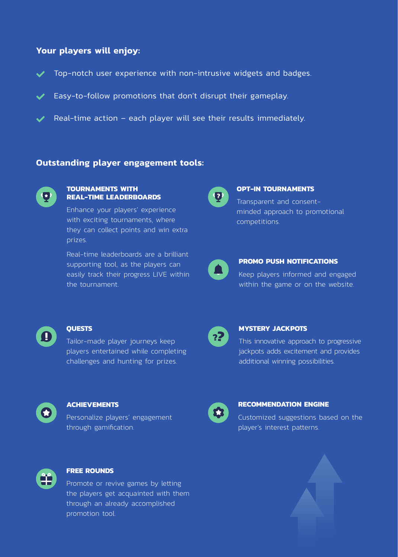#### **Your players will enjoy:**

- ◆ Top-notch user experience with non-intrusive widgets and badges.
- $\blacktriangleright$  Easy-to-follow promotions that don't disrupt their gameplay.
- $\vee$  Real-time action each player will see their results immediately.

#### **Outstanding player engagement tools:**



#### **TOURNAMENTS WITH REAL-TIME LEADERBOARDS**

Enhance your players' experience with exciting tournaments, where they can collect points and win extra prizes.

Real-time leaderboards are a brilliant supporting tool, as the players can easily track their progress LIVE within the tournament.



#### **OPT-IN TOURNAMENTS**

Transparent and consentminded approach to promotional competitions.



#### **PROMO PUSH NOTIFICATIONS**

Keep players informed and engaged within the game or on the website.



#### **QUESTS**

Tailor-made player journeys keep players entertained while completing challenges and hunting for prizes.



#### **MYSTERY JACKPOTS**

This innovative approach to progressive jackpots adds excitement and provides additional winning possibilities.

#### **ACHIEVEMENTS**

Personalize players' engagement through gamification.



#### **RECOMMENDATION ENGINE**

Customized suggestions based on the player's interest patterns.



#### **FREE ROUNDS**

Promote or revive games by letting the players get acquainted with them through an already accomplished promotion tool.

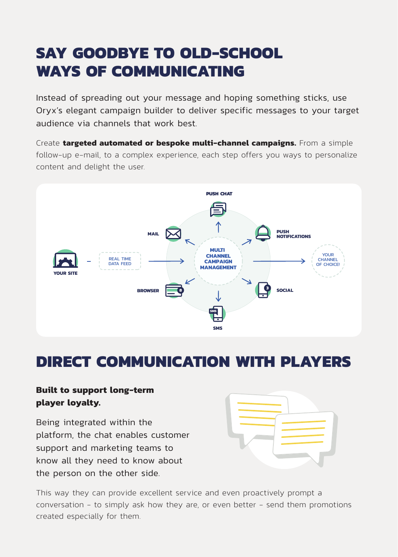## **SAY GOODBYE TO OLD-SCHOOL WAYS OF COMMUNICATING**

Instead of spreading out your message and hoping something sticks, use Oryx's elegant campaign builder to deliver specific messages to your target audience via channels that work best.

Create **targeted automated or bespoke multi-channel campaigns.** From a simple follow-up e-mail, to a complex experience, each step offers you ways to personalize content and delight the user.



### **DIRECT COMMUNICATION WITH PLAYERS**

### **Built to support long-term player loyalty.**

Being integrated within the platform, the chat enables customer support and marketing teams to know all they need to know about the person on the other side.



This way they can provide excellent service and even proactively prompt a conversation - to simply ask how they are, or even better - send them promotions created especially for them.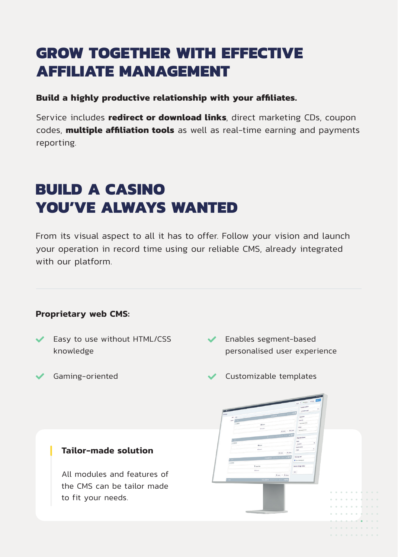## **GROW TOGETHER WITH EFFECTIVE AFFILIATE MANAGEMENT**

#### **Build a highly productive relationship with your affiliates.**

Service includes **redirect or download links**, direct marketing CDs, coupon codes, **multiple affiliation tools** as well as real-time earning and payments reporting.

## **BUILD A CASINO YOU'VE ALWAYS WANTED**

From its visual aspect to all it has to offer. Follow your vision and launch your operation in record time using our reliable CMS, already integrated with our platform.

#### **Proprietary web CMS:**

- Easy to use without HTML/CSS knowledge
- $\checkmark$  Enables segment-based personalised user experience

. . . . . . .  $\label{eq:2.1} \begin{array}{lllllllllllllllll} \alpha & \alpha & \alpha & \alpha & \alpha & \alpha & \alpha \end{array}$ 

- 
- >ÒĶęĸčɁłşęúĸŰúô ŸŦŰłĶęƠÒíĭúŰúĶŜĭÒŰúŦ

#### **Tailor-made solution**

All modules and features of the CMS can be tailor made to fit your needs.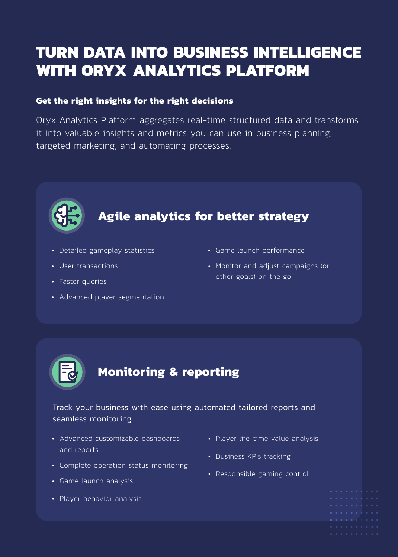## **TURN DATA INTO BUSINESS INTELLIGENCE WITH ORYX ANALYTICS PLATFORM**

#### **Get the right insights for the right decisions**

Oryx Analytics Platform aggregates real-time structured data and transforms it into valuable insights and metrics you can use in business planning, targeted marketing, and automating processes.



## **Agile analytics for better strategy**

- Detailed gameplay statistics
- User transactions
- Faster queries
- Advanced player segmentation
- Game launch performance
- Monitor and adjust campaigns (or other goals) on the go



#### Track your business with ease using automated tailored reports and seamless monitoring

- Advanced customizable dashboards and reports
- Complete operation status monitoring
- Game launch analysis
- Player behavior analysis
- Player life-time value analysis
- Business KPIs tracking
- Responsible gaming control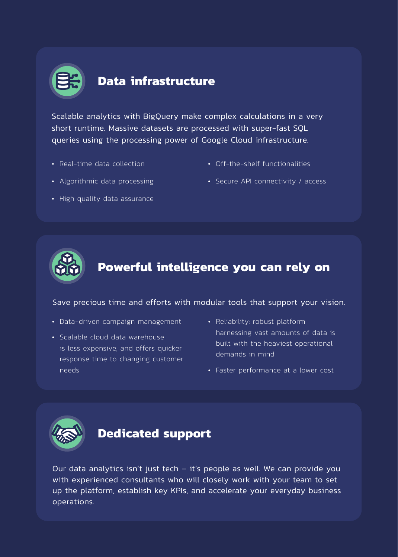

### **Data infrastructure**

Scalable analytics with BigQuery make complex calculations in a very short runtime. Massive datasets are processed with super-fast SQL gueries using the processing power of Google Cloud infrastructure.

• Real-time data collection

- Off-the-shelf functionalities
- Algorithmic data processing
- Secure API connectivity / access





### **Powerful intelligence you can rely on**

#### Save precious time and efforts with modular tools that support your vision.

- Data-driven campaign management
- Scalable cloud data warehouse is less expensive, and offers quicker response time to changing customer needs
- Reliability: robust platform harnessing vast amounts of data is built with the heaviest operational demands in mind
- Faster performance at a lower cost



### **Dedicated support**

Our data analytics isn't just tech - it's people as well. We can provide you with experienced consultants who will closely work with your team to set up the platform, establish key KPIs, and accelerate your everyday business operations.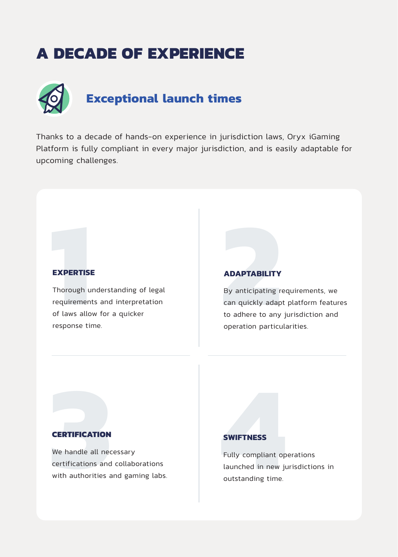### **A DECADE OF EXPERIENCE**



Thanks to a decade of hands-on experience in jurisdiction laws, Oryx iGaming Platform is fully compliant in every major jurisdiction, and is easily adaptable for upcoming challenges.

#### **EXPERTISE**

**EXPERTISI**<br>Thorough u<br>requiremen<br>of laws allo<br>response til Thorough understanding of legal requirements and interpretation of laws allow for a quicker response time.

#### **ADAPTABILITY**

**2** By anticipating requirements, we can quickly adapt platform features to adhere to any jurisdiction and operation particularities.

#### **CERTIFICATION**

**CERTIFICATION**<br>We handle all nec<br>certifications and<br>with authorities a We handle all necessary certifications and collaborations with authorities and gaming labs.

#### **SWIFTNESS**

**4** Fully compliant operations launched in new jurisdictions in outstanding time.